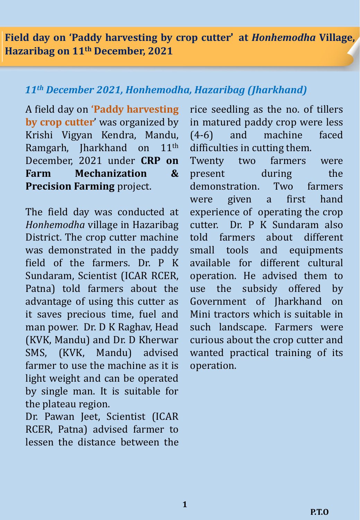**Field day on 'Paddy harvesting by crop cutter' at** *Honhemodha* **Village, Hazaribag on 11th December, 2021**

## *11th December 2021, Honhemodha, Hazaribag (Jharkhand)*

A field day on **'Paddy harvesting by crop cutter**' was organized by Krishi Vigyan Kendra, Mandu, Ramgarh, Jharkhand on 11th December, 2021 under **CRP on Farm Mechanization & Precision Farming** project.

The field day was conducted at *Honhemodha* village in Hazaribag District. The crop cutter machine was demonstrated in the paddy field of the farmers. Dr. P K Sundaram, Scientist (ICAR RCER, Patna) told farmers about the advantage of using this cutter as it saves precious time, fuel and man power. Dr. D K Raghav, Head (KVK, Mandu) and Dr. D Kherwar SMS, (KVK, Mandu) advised farmer to use the machine as it is light weight and can be operated by single man. It is suitable for the plateau region.

Dr. Pawan Jeet, Scientist (ICAR RCER, Patna) advised farmer to lessen the distance between the

rice seedling as the no. of tillers in matured paddy crop were less (4-6) and machine faced difficulties in cutting them.

Twenty two farmers were present during the demonstration. Two farmers were given a first hand experience of operating the crop cutter. Dr. P K Sundaram also told farmers about different small tools and equipments available for different cultural operation. He advised them to use the subsidy offered by Government of Jharkhand on Mini tractors which is suitable in such landscape. Farmers were curious about the crop cutter and wanted practical training of its operation.